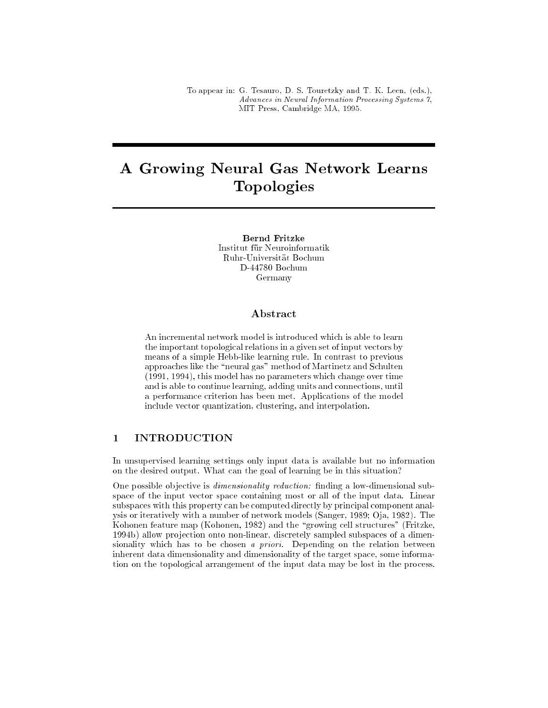To appear in: G. Tesauro, D. S. Touretzky and T. K. Leen, (eds.), Advances in Neural Information Processing Systems 7, MIT Press, Cambridge MA, 1995.

# A Growing Neural Gas Network Learns Topologies

**Bernd Fritzke** Institut für Neuroinformatik Ruhr-Universität Bochum D-44780 Bochum Germany

#### ${\bf Abstract}$

An incremental network model is introduced which is able to learn the important topological relations in a given set of input vectors by means of a simple Hebb-like learning rule. In contrast to previous approaches like the \neural gas" method of Martinetz and Schulten (1991, 1994), this model has no parameters which change over time and is able to continue learning, adding units and connections, until a performance criterion has been met. Applications of the model include vector quantization, clustering, and interpolation.

## 1 INTRODUCTION

In unsupervised learning settings only input data is available but no information on the desired output. What can the goal of learning be in this situation?

One possible objective is *dimensionality reduction*: finding a low-dimensional subspace of the input vector space containing most or all of the input data. Linear subspaces with this property can be computed directly by principal component analysis or iteratively with a number of network models (Sanger, 1989; Oja, 1982). The Kohonen feature map (Kohonen, 1982) and the "growing cell structures" (Fritzke, 1994b) allow projection onto non-linear, discretely sampled subspaces of a dimensionality which has to be chosen a priori. Depending on the relation between inherent data dimensionality and dimensionality of the target space, some information on the topological arrangement of the input data may be lost in the process.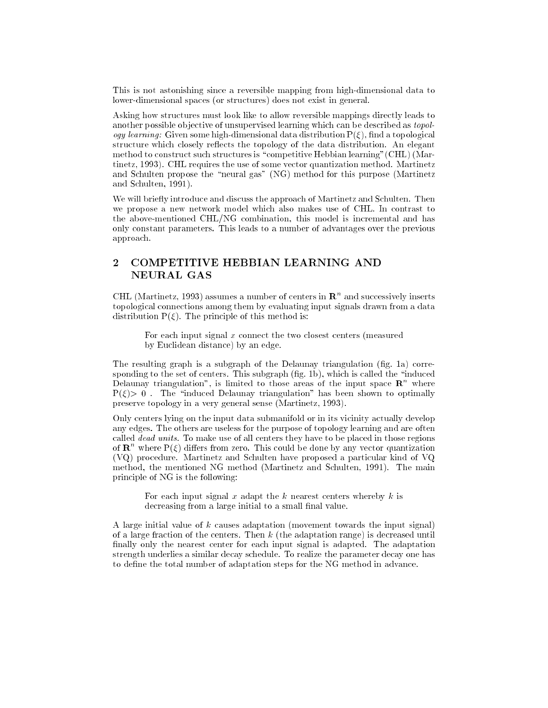This is not astonishing since a reversible mapping from high-dimensional data to lower-dimensional spaces (or structures) does not exist in general.

Asking how structures must look like to allow reversible mappings directly leads to another possible objective of unsupervised learning which can be described as *topology learning*: Given some high-dimensional data distribution  $P(\xi)$ , find a topological structure which closely reflects the topology of the data distribution. An elegant method to construct such structures is "competitive Hebbian learning" (CHL) (Martinetz, 1993). CHL requires the use of some vector quantization method. Martinetz and Schulten propose the "neural gas" (NG) method for this purpose (Martinetz and Schulten, 1991).

We will briefly introduce and discuss the approach of Martinetz and Schulten. Then we propose a new network model which also makes use of CHL. In contrast to the above-mentioned CHL/NG combination, this model is incremental and has only constant parameters. This leads to a number of advantages over the previous approach.

# 2 COMPETITIVE HEBBIAN LEARNING AND NEURAL GAS

UHL (Martinetz, 1993) assumes a number of centers in  ${\bf R}^+$  and successively inserts topological connections among them by evaluating input signals drawn from a data distribution  $P(\xi)$ . The principle of this method is:

For each input signal  $x$  connect the two closest centers (measured by Euclidean distance) by an edge.

The resulting graph is a subgraph of the Delaunay triangulation (fig. 1a) corresponding to the set of centers. This subgraph  $(fig. 1b)$ , which is called the "induced Delaunay triangulation", is limited to those areas of the input space  ${\bf R}^+$  where  $P(\xi) > 0$ . The "induced Delaunay triangulation" has been shown to optimally preserve topology in a very general sense (Martinetz, 1993).

Only centers lying on the input data submanifold or in its vicinity actually develop any edges. The others are useless for the purpose of topology learning and are often called  $\overline{dead}$  units. To make use of all centers they have to be placed in those regions of  $\mathbf{R}^n$  where  $\mathrm{P}(\xi)$  differs from zero. This could be done by any vector quantization (VQ) procedure. Martinetz and Schulten have proposed a particular kind of VQ method, the mentioned NG method (Martinetz and Schulten, 1991). The main principle of NG is the following:

For each input signal  $x$  adapt the  $k$  nearest centers whereby  $k$  is decreasing from a large initial to a small final value.

A large initial value of  $k$  causes adaptation (movement towards the input signal) of a large fraction of the centers. Then  $k$  (the adaptation range) is decreased until finally only the nearest center for each input signal is adapted. The adaptation strength underlies a similar decay schedule. To realize the parameter decay one has to define the total number of adaptation steps for the NG method in advance.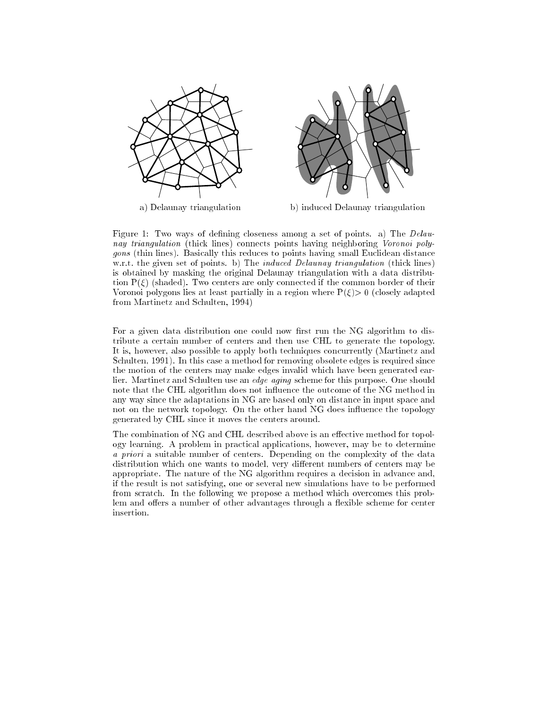

a) Delaunay triangulation b) induced Delaunay triangulation

Figure 1: Two ways of defining closeness among a set of points. a) The *Delau*nay triangulation (thick lines) connects points having neighboring Voronoi polygons (thin lines). Basically this reduces to points having small Euclidean distance w.r.t. the given set of points. b) The *induced Delaunay triangulation* (thick lines) is obtained by masking the original Delaunay triangulation with a data distribution  $P(\xi)$  (shaded). Two centers are only connected if the common border of their Voronoi polygons lies at least partially in a region where  $P(\xi) > 0$  (closely adapted from Martinetz and Schulten, 1994)

For a given data distribution one could now first run the NG algorithm to distribute a certain number of centers and then use CHL to generate the topology. It is, however, also possible to apply both techniques concurrently (Martinetz and Schulten, 1991). In this case a method for removing obsolete edges is required since the motion of the centers may make edges invalid which have been generated earlier. Martinetz and Schulten use an edge aging scheme for this purpose. One should note that the CHL algorithm does not influence the outcome of the NG method in any way since the adaptations in NG are based only on distance in input space and not on the network topology. On the other hand NG does influence the topology generated by CHL since it moves the centers around.

The combination of NG and CHL described above is an effective method for topology learning. A problem in practical applications, however, may be to determine a priori a suitable number of centers. Depending on the complexity of the data distribution which one wants to model, very different numbers of centers may be appropriate. The nature of the NG algorithm requires a decision in advance and, if the result is not satisfying, one or several new simulations have to be performed from scratch. In the following we propose a method which overcomes this problem and offers a number of other advantages through a flexible scheme for center insertion.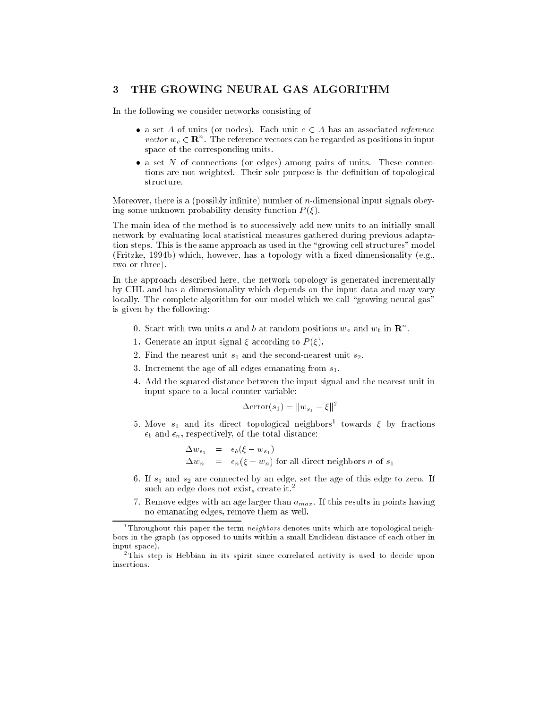#### 3 THE GROWING NEURAL GAS ALGORITHM

In the following we consider networks consisting of

- a set A of units (or nodes). Each unit  $c \in A$  has an associated reference *vector*  $w_c \in \mathbf{R}$ . The reference vectors can be regarded as positions in input space of the corresponding units.
- a set  $N$  of connections (or edges) among pairs of units. These connections are not weighted. Their sole purpose is the definition of topological structure.

Moreover, there is a (possibly infinite) number of  $n$ -dimensional input signals obeying some unknown probability density function  $P(\xi)$ .

The main idea of the method is to successively add new units to an initially small network by evaluating local statistical measures gathered during previous adaptation steps. This is the same approach as used in the \growing cell structures" model (Fritzke, 1994b) which, however, has a topology with a fixed dimensionality (e.g., two or three).

In the approach described here, the network topology is generated incrementally by CHL and has a dimensionality which depends on the input data and may vary locally. The complete algorithm for our model which we call "growing neural gas" is given by the following:

- 0. Start with two units a and b at random positions  $w_a$  and  $w_b$  in  $\mathbb{R}^n$ .
- 1. Generate an input signal  $\xi$  according to  $P(\xi)$ .
- 2. Find the nearest unit  $s_1$  and the second-nearest unit  $s_2$ .
- 3. Increment the age of all edges emanating from  $s_1$ .
- 4. Add the squared distance between the input signal and the nearest unit in input space to a local counter variable:

$$
\Delta \text{error}(s_1) = ||w_{s_1} - \xi||^2
$$

5. Move  $s_1$  and its direct topological neighbors<sup>1</sup> towards  $\xi$  by fractions  $\epsilon_b$  and  $\epsilon_n$ , respectively, of the total distance:

$$
\Delta w_{s_1} = \epsilon_b (\xi - w_{s_1})
$$
  
\n
$$
\Delta w_n = \epsilon_n (\xi - w_n) \text{ for all direct neighbors } n \text{ of } s_1
$$

- 6. If  $s_1$  and  $s_2$  are connected by an edge, set the age of this edge to zero. If such an edge does not exist, create it.<sup>2</sup>
- 7. Remove edges with an age larger than  $a_{max}$ . If this results in points having no emanating edges, remove them as well.

Throughout this paper the term  $\emph{neுq}$ hors denotes units which are topological neighbors in the graph (as opposed to units within a small Euclidean distance of each other in input space).

<sup>2</sup> This step is Hebbian in its spirit since correlated activity is used to decide upon insertions.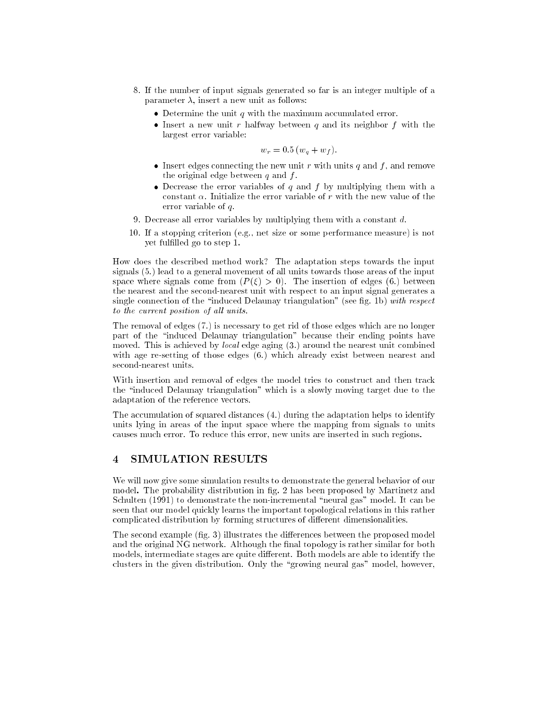- 8. If the number of input signals generated so far is an integer multiple of a parameter  $\lambda$ , insert a new unit as follows:
	- $\bullet$  Determine the unit q with the maximum accumulated error.
	- $\bullet$  Insert a new unit r halfway between q and its neighbor f with the largest error variable:

$$
w_r = 0.5 (w_q + w_f).
$$

- Insert edges connecting the new unit r with units q and f, and remove the original edge between  $q$  and  $f$ .
- Decrease the error variables of q and f by multiplying them with a constant  $\alpha$ . Initialize the error variable of r with the new value of the error variable of q.
- 9. Decrease all error variables by multiplying them with a constant d.
- 10. If a stopping criterion (e.g., net size or some performance measure) is not yet fullled go to step 1.

How does the described method work? The adaptation steps towards the input signals (5.) lead to a general movement of all units towards those areas of the input space where signals come from  $(P(\xi) > 0)$ . The insertion of edges (6.) between the nearest and the second-nearest unit with respect to an input signal generates a single connection of the "induced Delaunay triangulation" (see fig. 1b) with respect to the current position of all units.

The removal of edges (7.) is necessary to get rid of those edges which are no longer part of the \induced Delaunay triangulation" because their ending points have moved. This is achieved by *local* edge aging  $(3)$  around the nearest unit combined with age re-setting of those edges (6.) which already exist between nearest and second-nearest units.

With insertion and removal of edges the model tries to construct and then track the \induced Delaunay triangulation" which is a slowly moving target due to the adaptation of the reference vectors.

The accumulation of squared distances (4.) during the adaptation helps to identify units lying in areas of the input space where the mapping from signals to units causes much error. To reduce this error, new units are inserted in such regions.

## 4 SIMULATION RESULTS

We will now give some simulation results to demonstrate the general behavior of our model. The probability distribution in fig. 2 has been proposed by Martinetz and Schulten (1991) to demonstrate the non-incremental "neural gas" model. It can be seen that our model quickly learns the important topological relations in this rather complicated distribution by forming structures of different dimensionalities.

The second example (fig. 3) illustrates the differences between the proposed model and the original NG network. Although the final topology is rather similar for both models, intermediate stages are quite different. Both models are able to identify the clusters in the given distribution. Only the \growing neural gas" model, however,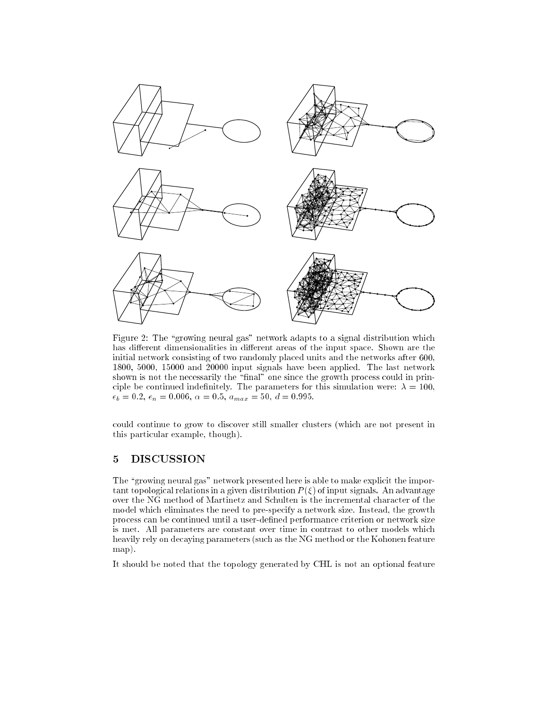

Figure 2: The "growing neural gas" network adapts to a signal distribution which has different dimensionalities in different areas of the input space. Shown are the initial network consisting of two randomly placed units and the networks after 600, 1800, 5000, 15000 and 20000 input signals have been applied. The last network shown is not the necessarily the "final" one since the growth process could in principle be continued indefinitely. The parameters for this simulation were:  $\lambda = 100$ ,  $\epsilon_b = 0.2, \, \epsilon_n = 0.006, \, \alpha = 0.5, \, a_{max} = 50, \, d = 0.995.$ 

could continue to grow to discover still smaller clusters (which are not present in this particular example, though).

#### 5 DISCUSSION

The "growing neural gas" network presented here is able to make explicit the important topological relations in a given distribution  $P(\xi)$  of input signals. An advantage over the NG method of Martinetz and Schulten is the incremental character of the model which eliminates the need to pre-specify a network size. Instead, the growth process can be continued until a user-defined performance criterion or network size is met. All parameters are constant over time in contrast to other models which heavily rely on decaying parameters (such as the NG method or the Kohonen feature map).

It should be noted that the topology generated by CHL is not an optional feature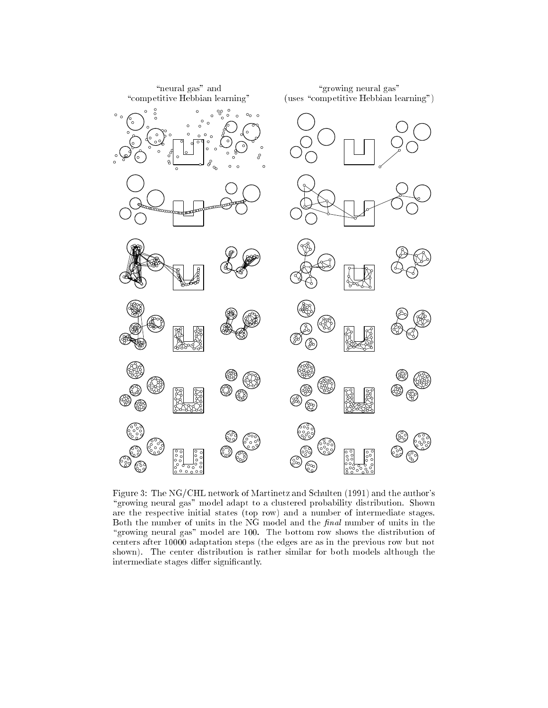

Figure 3: The NG/CHL network of Martinetz and Schulten (1991) and the author's \growing neural gas" model adapt to a clustered probability distribution. Shown are the respective initial states (top row) and a number of intermediate stages. Both the number of units in the NG model and the  $final$  number of units in the "growing neural gas" model are 100. The bottom row shows the distribution of centers after 10000 adaptation steps (the edges are as in the previous row but not shown). The center distribution is rather similar for both models although the intermediate stages differ significantly.